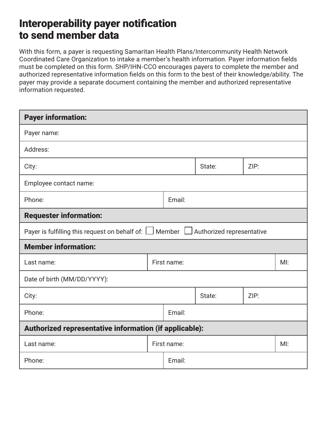## Interoperability payer notification to send member data

With this form, a payer is requesting Samaritan Health Plans/Intercommunity Health Network Coordinated Care Organization to intake a member's health information. Payer information fields must be completed on this form. SHP/IHN-CCO encourages payers to complete the member and authorized representative information fields on this form to the best of their knowledge/ability. The payer may provide a separate document containing the member and authorized representative information requested.

| <b>Payer information:</b>                                                                     |             |        |        |      |  |
|-----------------------------------------------------------------------------------------------|-------------|--------|--------|------|--|
| Payer name:                                                                                   |             |        |        |      |  |
| Address:                                                                                      |             |        |        |      |  |
| City:                                                                                         |             |        | State: | ZIP: |  |
| Employee contact name:                                                                        |             |        |        |      |  |
| Phone:                                                                                        |             | Email: |        |      |  |
| <b>Requester information:</b>                                                                 |             |        |        |      |  |
| Payer is fulfilling this request on behalf of: $\Box$ Member $\Box$ Authorized representative |             |        |        |      |  |
| <b>Member information:</b>                                                                    |             |        |        |      |  |
| Last name:                                                                                    | First name: |        |        |      |  |
| Date of birth (MM/DD/YYYY):                                                                   |             |        |        |      |  |
| City:                                                                                         |             |        | State: | ZIP: |  |
| Phone:                                                                                        |             | Email: |        |      |  |
| Authorized representative information (if applicable):                                        |             |        |        |      |  |
| Last name:                                                                                    | First name: |        |        | M!   |  |
| Phone:                                                                                        |             | Email: |        |      |  |